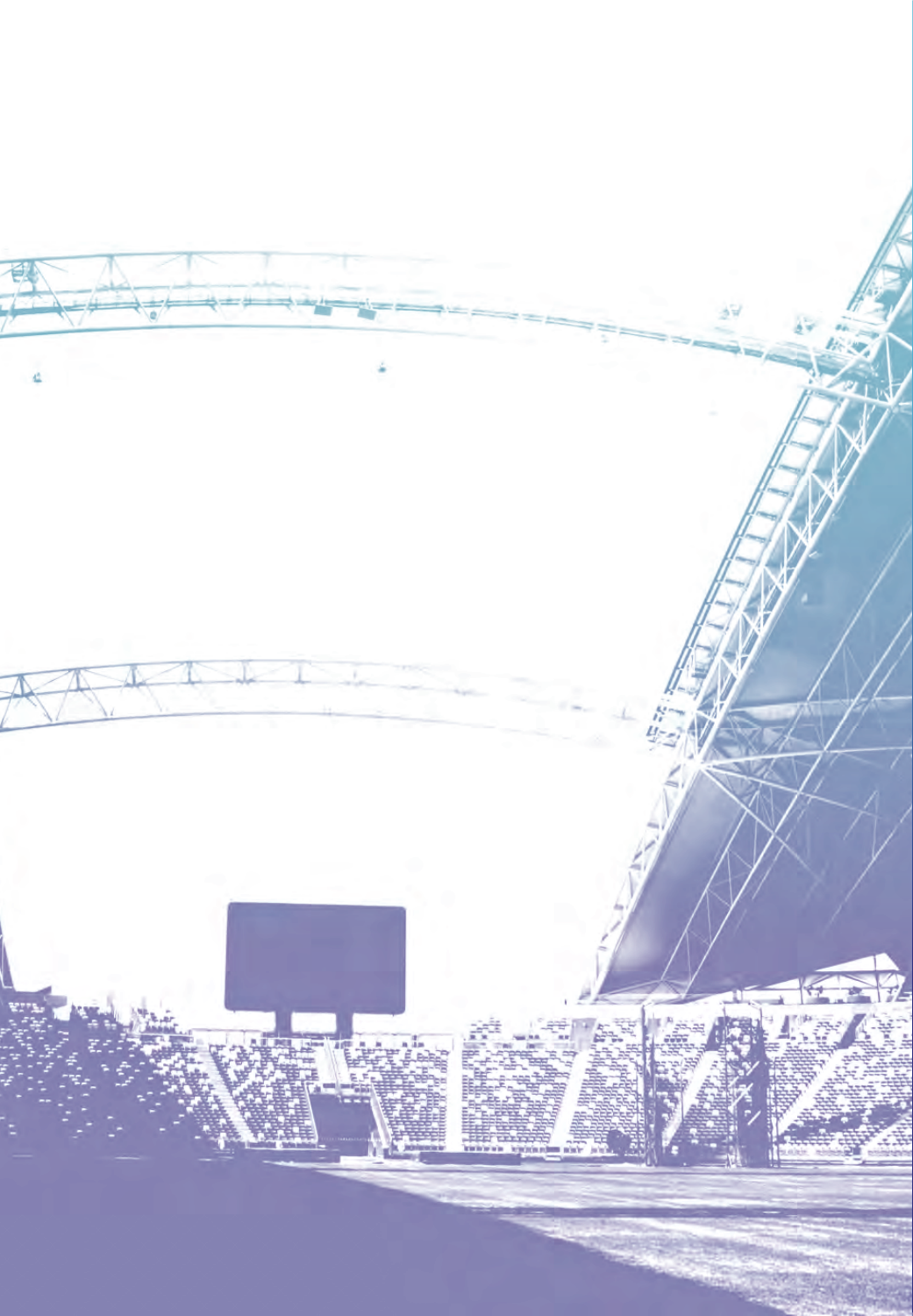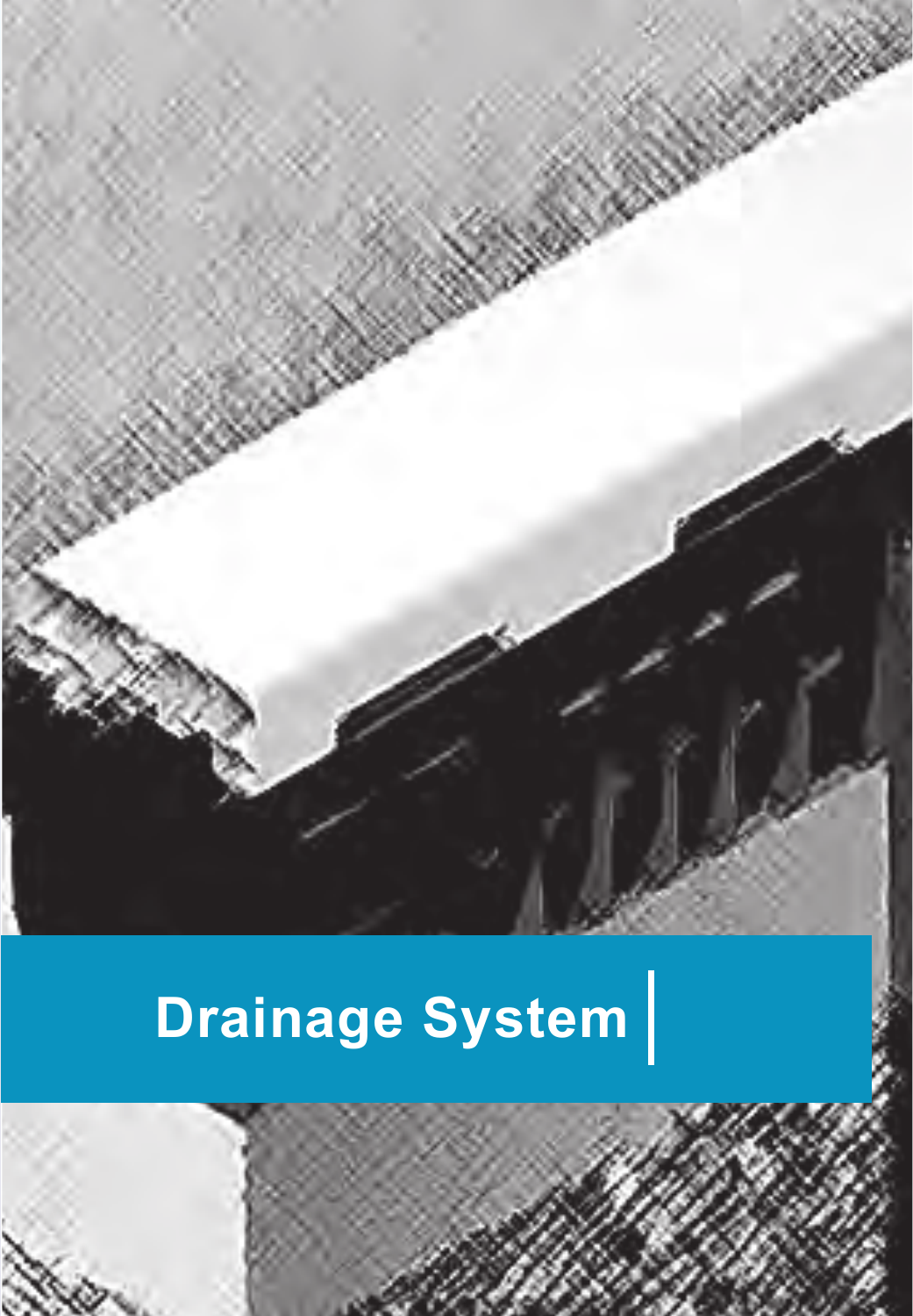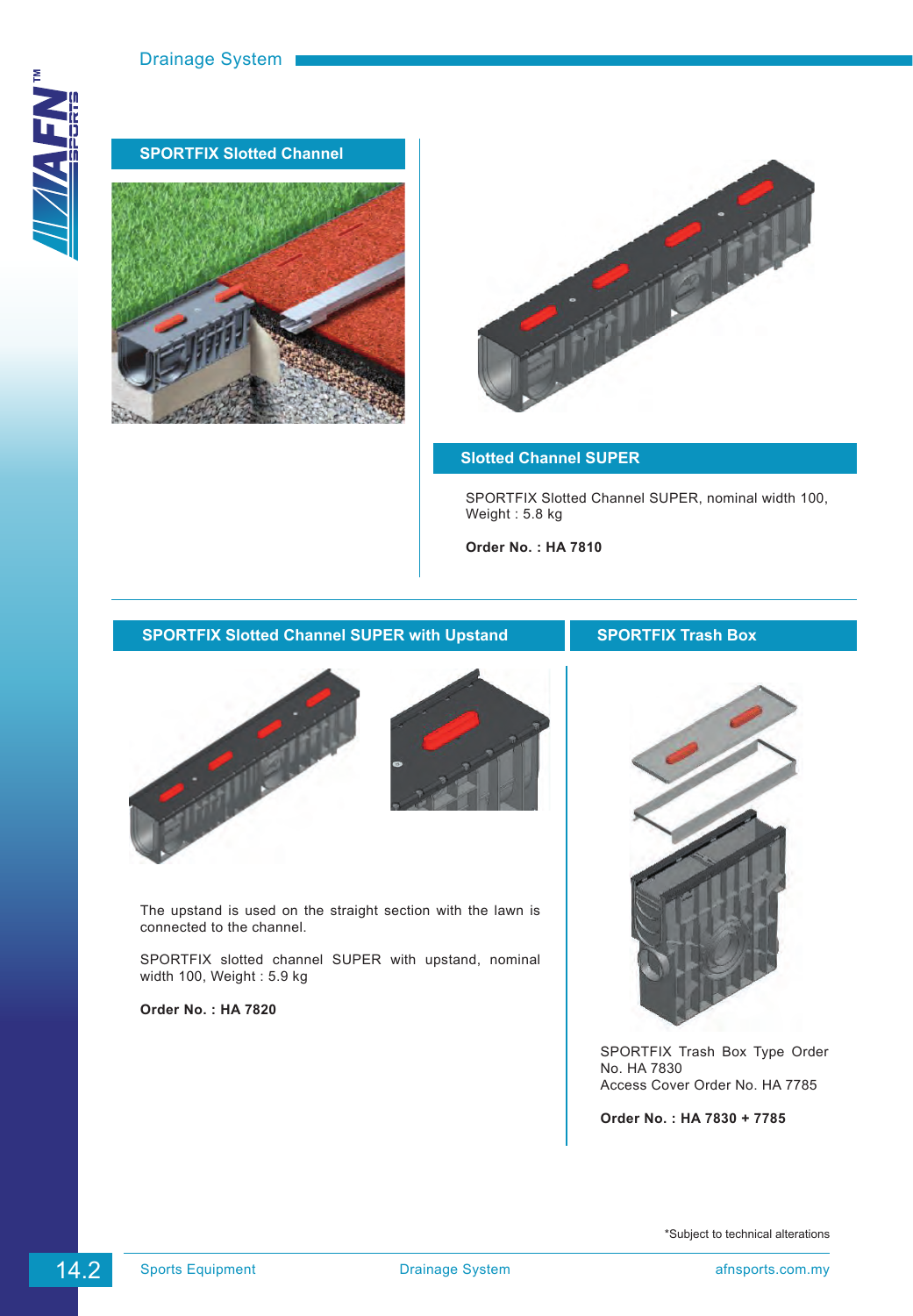





## **Slotted Channel SUPER**

SPORTFIX Slotted Channel SUPER, nominal width 100, Weight : 5.8 kg

**SPORTFIX Trash Box**

**Order No. : HA 7810**

## **SPORTFIX Slotted Channel SUPER with Upstand**





The upstand is used on the straight section with the lawn is connected to the channel.

SPORTFIX slotted channel SUPER with upstand, nominal width 100, Weight : 5.9 kg

#### **Order No. : HA 7820**



SPORTFIX Trash Box Type Order No. HA 7830 Access Cover Order No. HA 7785

**Order No. : HA 7830 + 7785**

\*Subject to technical alterations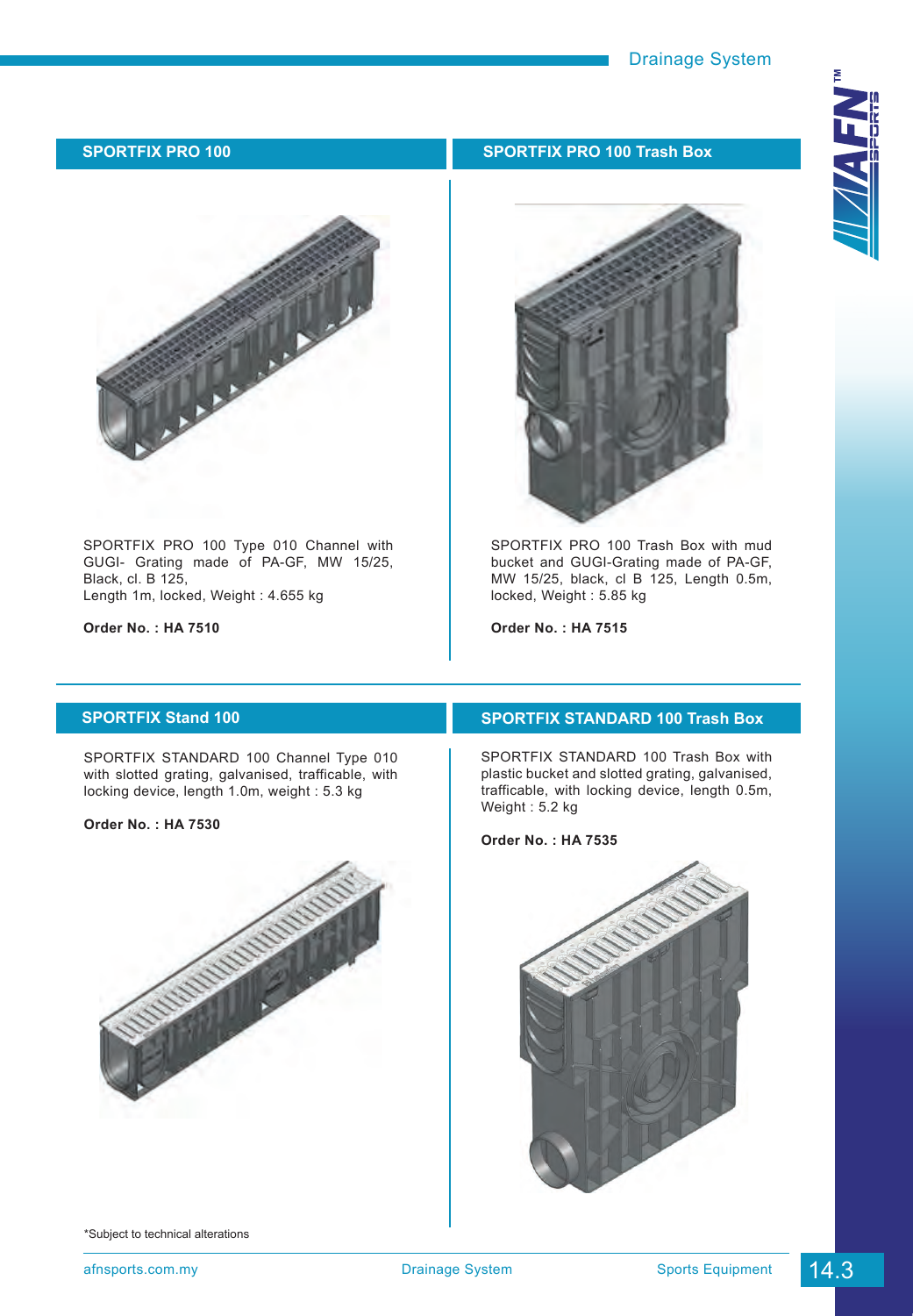

## **SPORTFIX PRO 100**



SPORTFIX PRO 100 Type 010 Channel with GUGI- Grating made of PA-GF, MW 15/25, Black, cl. B 125, Length 1m, locked, Weight : 4.655 kg

**Order No. : HA 7510**

## **SPORTFIX PRO 100 Trash Box**



SPORTFIX PRO 100 Trash Box with mud bucket and GUGI-Grating made of PA-GF, MW 15/25, black, cl B 125, Length 0.5m, locked, Weight : 5.85 kg

**Order No. : HA 7515**

## **SPORTFIX Stand 100**

SPORTFIX STANDARD 100 Channel Type 010 with slotted grating, galvanised, trafficable, with locking device, length 1.0m, weight : 5.3 kg

#### **Order No. : HA 7530**



## **SPORTFIX STANDARD 100 Trash Box**

SPORTFIX STANDARD 100 Trash Box with plastic bucket and slotted grating, galvanised, trafficable, with locking device, length 0.5m, Weight : 5.2 kg

**Order No. : HA 7535**



\*Subject to technical alterations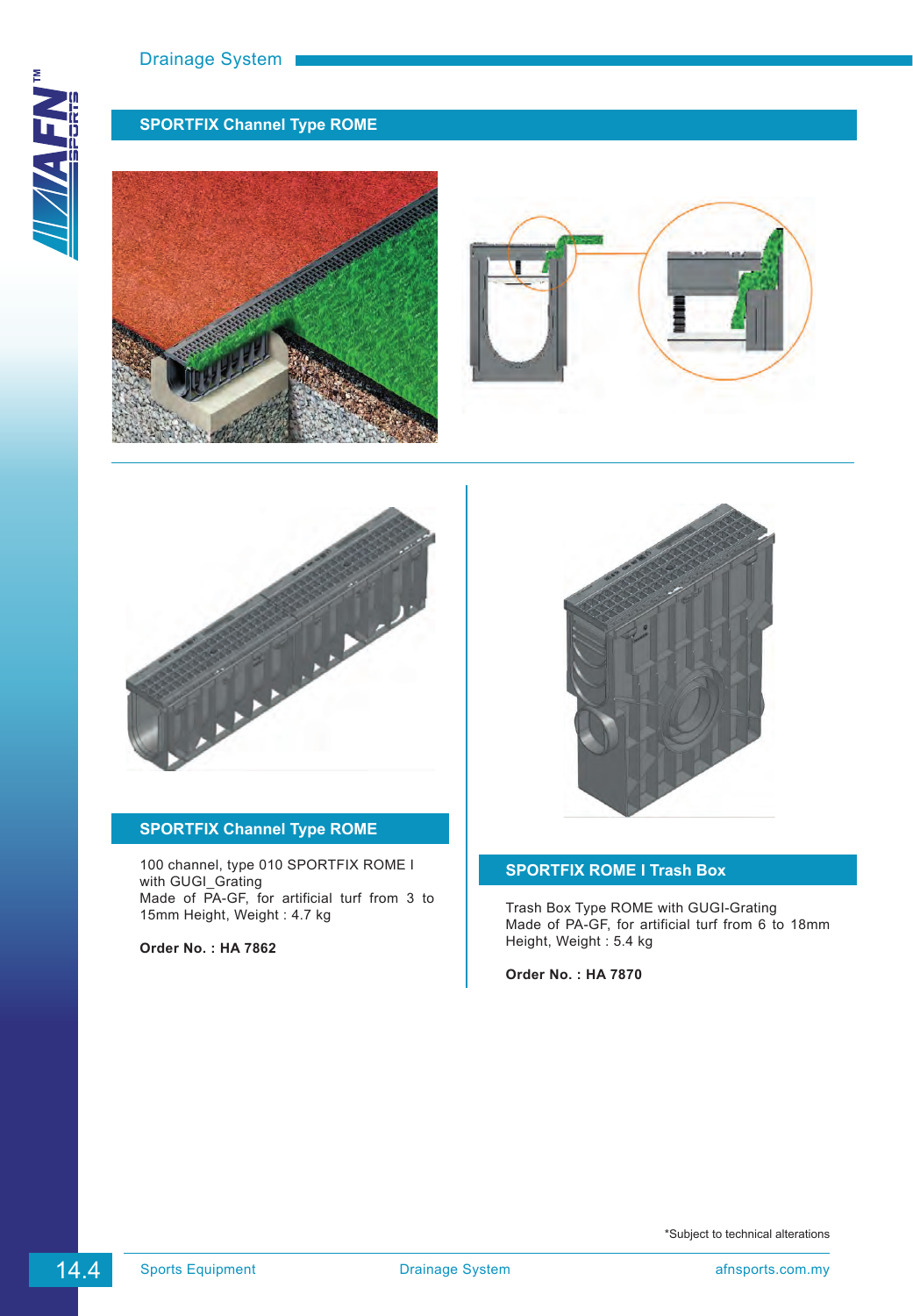WHAT

## **SPORTFIX Channel Type ROME**







## **SPORTFIX Channel Type ROME**

100 channel, type 010 SPORTFIX ROME I with GUGI\_Grating Made of PA-GF, for artificial turf from 3 to 15mm Height, Weight : 4.7 kg

**Order No. : HA 7862**



## **SPORTFIX ROME I Trash Box**

Trash Box Type ROME with GUGI-Grating Made of PA-GF, for artificial turf from 6 to 18mm Height, Weight : 5.4 kg

**Order No. : HA 7870**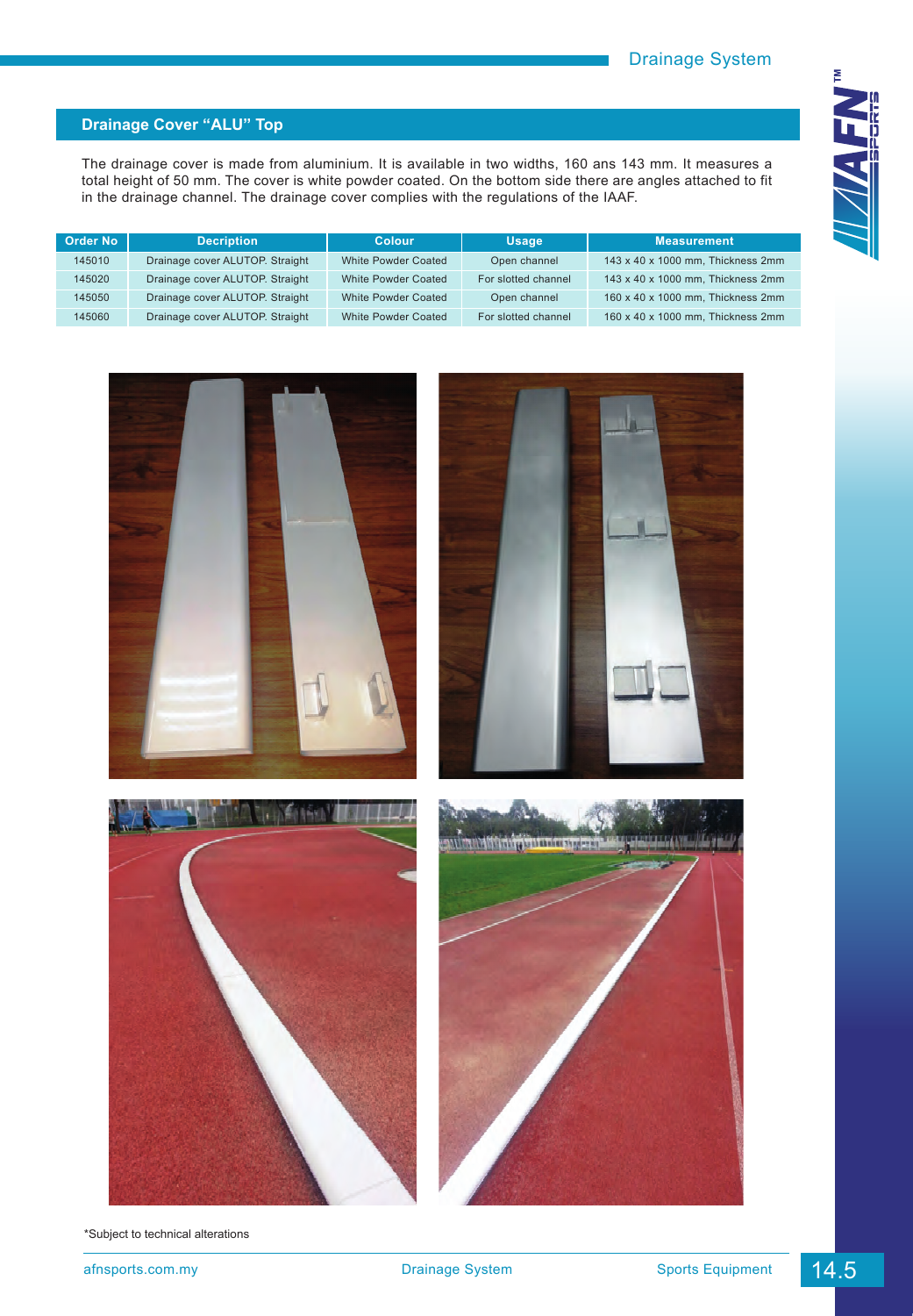

## **Drainage Cover "ALU" Top**

The drainage cover is made from aluminium. It is available in two widths, 160 ans 143 mm. It measures a total height of 50 mm. The cover is white powder coated. On the bottom side there are angles attached to fit in the drainage channel. The drainage cover complies with the regulations of the IAAF.

| <b>Order No</b> | <b>Decription</b>               | Colour                     | <b>Usage</b>        | <b>Measurement</b>                |
|-----------------|---------------------------------|----------------------------|---------------------|-----------------------------------|
| 145010          | Drainage cover ALUTOP. Straight | <b>White Powder Coated</b> | Open channel        | 143 x 40 x 1000 mm. Thickness 2mm |
| 145020          | Drainage cover ALUTOP. Straight | <b>White Powder Coated</b> | For slotted channel | 143 x 40 x 1000 mm. Thickness 2mm |
| 145050          | Drainage cover ALUTOP. Straight | <b>White Powder Coated</b> | Open channel        | 160 x 40 x 1000 mm. Thickness 2mm |
| 145060          | Drainage cover ALUTOP. Straight | White Powder Coated        | For slotted channel | 160 x 40 x 1000 mm. Thickness 2mm |



\*Subject to technical alterations



لتغضك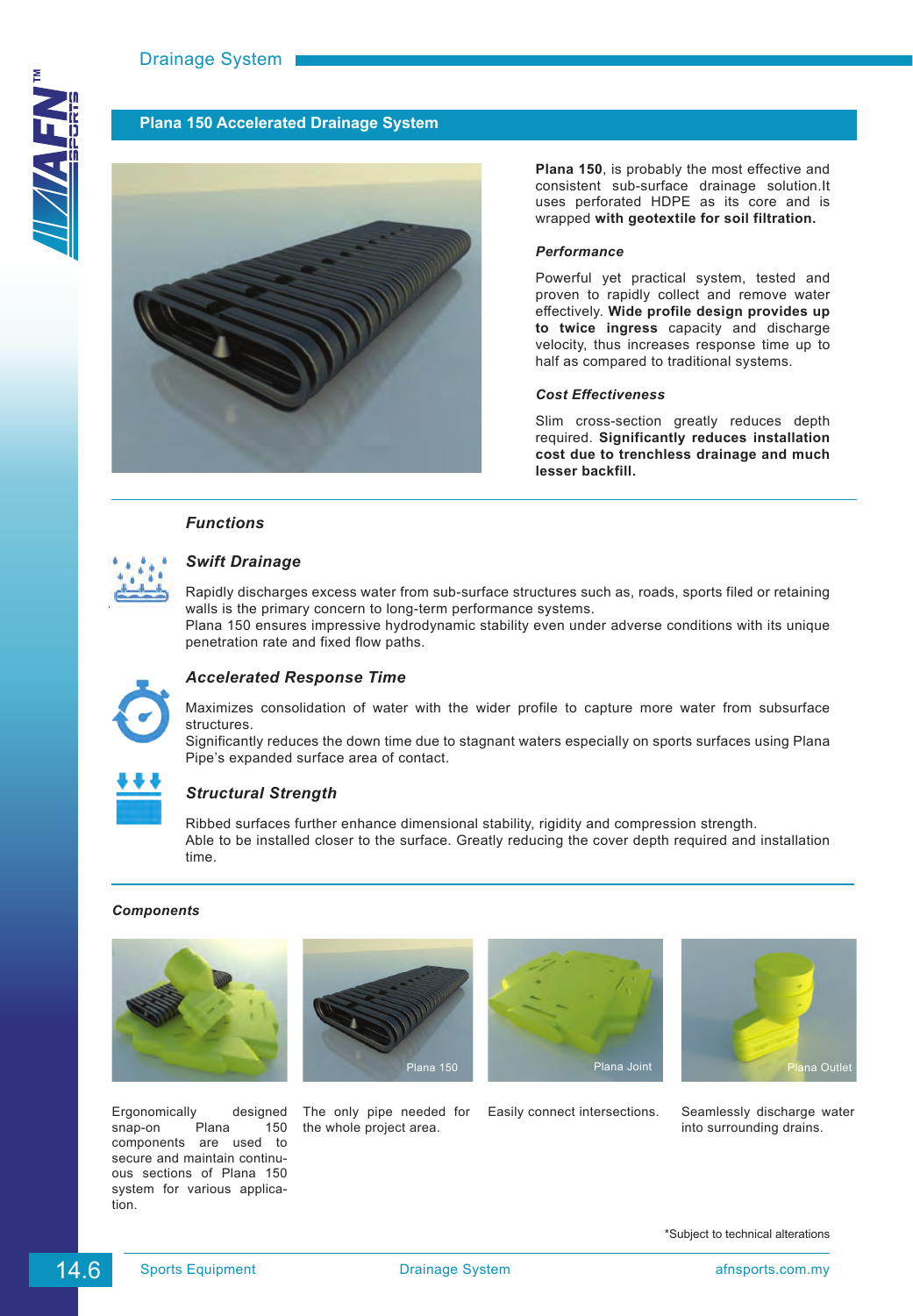## **Plana 150 Accelerated Drainage System**



**Plana 150**, is probably the most effective and consistent sub-surface drainage solution.It uses perforated HDPE as its core and is wrapped **with geotextile for soil filtration.**

#### *Performance*

Powerful yet practical system, tested and proven to rapidly collect and remove water effectively. **Wide profile design provides up to twice ingress** capacity and discharge velocity, thus increases response time up to half as compared to traditional systems.

#### *Cost Effectiveness*

Slim cross-section greatly reduces depth required. **Significantly reduces installation cost due to trenchless drainage and much lesser backfill.**

#### *Functions*



**NHVA** 

## *Swift Drainage*

Rapidly discharges excess water from sub-surface structures such as, roads, sports filed or retaining walls is the primary concern to long-term performance systems. Plana 150 ensures impressive hydrodynamic stability even under adverse conditions with its unique penetration rate and fixed flow paths.



## *Accelerated Response Time*

Maximizes consolidation of water with the wider profile to capture more water from subsurface structures.

Significantly reduces the down time due to stagnant waters especially on sports surfaces using Plana Pipe's expanded surface area of contact.



#### *Structural Strength*

Ribbed surfaces further enhance dimensional stability, rigidity and compression strength. Able to be installed closer to the surface. Greatly reducing the cover depth required and installation time.

#### *Components*



Ergonomically designed<br>snap-on Plana 150 snap-on components are used to secure and maintain continuous sections of Plana 150 system for various application.



the whole project area.

designed The only pipe needed for Easily connect intersections.



Seamlessly discharge water into surrounding drains.

\*Subject to technical alterations